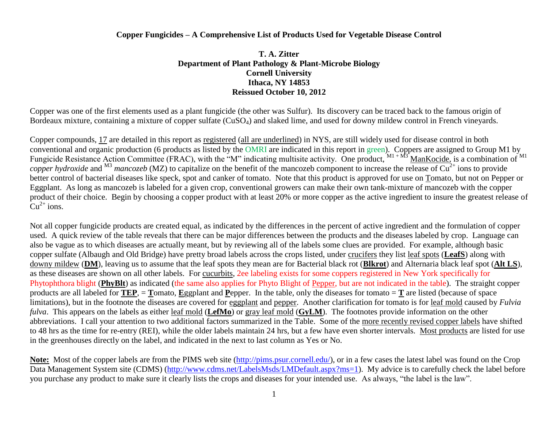## **Copper Fungicides – A Comprehensive List of Products Used for Vegetable Disease Control**

## **T. A. Zitter Department of Plant Pathology & Plant-Microbe Biology Cornell University Ithaca, NY 14853 Reissued October 10, 2012**

Copper was one of the first elements used as a plant fungicide (the other was Sulfur). Its discovery can be traced back to the famous origin of Bordeaux mixture, containing a mixture of copper sulfate (CuSO<sub>4</sub>) and slaked lime, and used for downy mildew control in French vineyards.

Copper compounds, 17 are detailed in this report as registered (all are underlined) in NYS, are still widely used for disease control in both conventional and organic production (6 products as listed by the OMRI are indicated in this report in green). Coppers are assigned to Group M1 by Fungicide Resistance Action Committee (FRAC), with the "M" indicating multisite activity. One product,  $M1 + M3$  ManKocide, is a combination of  $M1$ *copper hydroxide* and  $^{M3}$  *mancozeb* (MZ) to capitalize on the benefit of the mancozeb component to increase the release of  $Cu^{2+}$  ions to provide better control of bacterial diseases like speck, spot and canker of tomato. Note that this product is approved for use on Tomato, but not on Pepper or Eggplant. As long as mancozeb is labeled for a given crop, conventional growers can make their own tank-mixture of mancozeb with the copper product of their choice. Begin by choosing a copper product with at least 20% or more copper as the active ingredient to insure the greatest release of  $Cu^{2+}$  ions.

Not all copper fungicide products are created equal, as indicated by the differences in the percent of active ingredient and the formulation of copper used. A quick review of the table reveals that there can be major differences between the products and the diseases labeled by crop. Language can also be vague as to which diseases are actually meant, but by reviewing all of the labels some clues are provided. For example, although basic copper sulfate (Albaugh and Old Bridge) have pretty broad labels across the crops listed, under crucifers they list leaf spots (**LeafS**) along with downy mildew (**DM**), leaving us to assume that the leaf spots they mean are for Bacterial black rot (**Blkrot**) and Alternaria black leaf spot (**Alt LS**), as these diseases are shown on all other labels. For cucurbits, 2ee labeling exists for some coppers registered in New York specifically for Phytophthora blight (**PhyBlt**) as indicated (the same also applies for Phyto Blight of Pepper, but are not indicated in the table). The straight copper products are all labeled for  $TEP$ ,  $=$  **T**omato, Eggplant and Pepper. In the table, only the diseases for tomato  $=$  **T** are listed (because of space limitations), but in the footnote the diseases are covered for eggplant and pepper. Another clarification for tomato is for leaf mold caused by *Fulvia fulva*. This appears on the labels as either leaf mold (**LefMo**) or gray leaf mold (**GyLM**). The footnotes provide information on the other abbreviations. I call your attention to two additional factors summarized in the Table. Some of the more recently revised copper labels have shifted to 48 hrs as the time for re-entry (REI), while the older labels maintain 24 hrs, but a few have even shorter intervals. Most products are listed for use in the greenhouses directly on the label, and indicated in the next to last column as Yes or No.

Note: Most of the copper labels are from the PIMS web site [\(http://pims.psur.cornell.edu/\)](http://pims.psur.cornell.edu/), or in a few cases the latest label was found on the Crop Data Management System site (CDMS) [\(http://www.cdms.net/LabelsMsds/LMDefault.aspx?ms=1\)](http://www.cdms.net/LabelsMsds/LMDefault.aspx?ms=1). My advice is to carefully check the label before you purchase any product to make sure it clearly lists the crops and diseases for your intended use. As always, "the label is the law".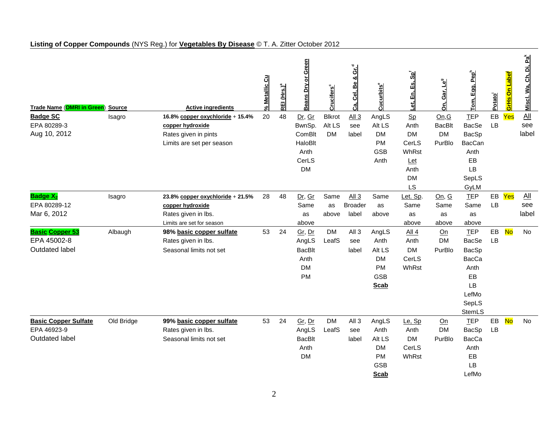| <b>Trade Name (OMRI in Green)</b>          | <b>Source</b> | <b>Active ingredients</b>               | % Metallic Cu | REI (Hrs.) <sup>a</sup> | <b>Beans Dry or Green</b> | Crucifers <sup>c</sup> | Ca, Cel, Be & Gr. <sup>d</sup>     | $\mathtt{Cucurbits}^\mathtt{e}$ | ්ස්<br>En, Es,<br>ยู่ | Gar, Le <sup>9</sup><br>Ōn, | <u>Tom, Egg, Pep<sup>h</sup></u> | Potato | <mark>GrHs On Label<sup>i</sup></mark> | Di, Pa <sup>k</sup><br>ප්<br>Miscl. Wa, |
|--------------------------------------------|---------------|-----------------------------------------|---------------|-------------------------|---------------------------|------------------------|------------------------------------|---------------------------------|-----------------------|-----------------------------|----------------------------------|--------|----------------------------------------|-----------------------------------------|
| <b>Badge SC</b>                            | Isagro        | 16.8% copper oxychloride + 15.4%        | 20            | 48                      | Dr, Gr                    | <b>Blkrot</b>          | All3                               | AngLS                           | Sp                    | On, G                       | <b>TEP</b>                       | EB     | Yes                                    | $\underline{All}$                       |
| EPA 80289-3                                |               | copper hydroxide                        |               |                         | BwnSp.                    | Alt LS                 | see                                | Alt LS                          | Anth                  | <b>BacBlt</b>               | <b>BacSe</b>                     | LB     |                                        | see                                     |
| Aug 10, 2012                               |               | Rates given in pints                    |               |                         | ComBlt                    | <b>DM</b>              | label                              | <b>DM</b>                       | <b>DM</b>             | <b>DM</b>                   | BacSp                            |        |                                        | label                                   |
|                                            |               | Limits are set per season               |               |                         | HaloBlt                   |                        |                                    | <b>PM</b>                       | CerLS                 | PurBlo                      | <b>BacCan</b>                    |        |                                        |                                         |
|                                            |               |                                         |               |                         | Anth                      |                        |                                    | <b>GSB</b>                      | WhRst                 |                             | Anth                             |        |                                        |                                         |
|                                            |               |                                         |               |                         | CerLS                     |                        |                                    | Anth                            | Let                   |                             | EB                               |        |                                        |                                         |
|                                            |               |                                         |               |                         | <b>DM</b>                 |                        |                                    |                                 | Anth                  |                             | LB                               |        |                                        |                                         |
|                                            |               |                                         |               |                         |                           |                        |                                    |                                 | <b>DM</b>             |                             | SepLS                            |        |                                        |                                         |
|                                            |               |                                         |               |                         |                           |                        |                                    |                                 | <b>LS</b>             |                             | GyLM                             |        |                                        |                                         |
| <b>Badge X<sub>2</sub></b><br>EPA 80289-12 | Isagro        | 23.8% copper oxychloride + 21.5%        | 28            | 48                      | Dr, Gr                    | Same                   | All <sub>3</sub><br><b>Broader</b> | Same                            | Let. Sp.              | On, G                       | <b>TEP</b>                       | LB     | EB Yes                                 | <u>All</u><br>see                       |
| Mar 6, 2012                                |               | copper hydroxide<br>Rates given in lbs. |               |                         | Same<br>as                | as<br>above            | label                              | as<br>above                     | Same                  | Same<br>as                  | Same<br>as                       |        |                                        | label                                   |
|                                            |               | Limits are set for season               |               |                         | above                     |                        |                                    |                                 | as<br>above           | above                       | above                            |        |                                        |                                         |
| <b>Basic Copper 53</b>                     | Albaugh       | 98% basic copper sulfate                | 53            | 24                      | Gr, Dr                    | <b>DM</b>              | All <sub>3</sub>                   | AngLS                           | All 4                 | Qn                          | <b>TEP</b>                       | EB     | <b>No</b>                              | <b>No</b>                               |
| EPA 45002-8                                |               | Rates given in lbs.                     |               |                         | AngLS                     | LeafS                  | see                                | Anth                            | Anth                  | <b>DM</b>                   | <b>BacSe</b>                     | LB     |                                        |                                         |
| Outdated label                             |               | Seasonal limits not set                 |               |                         | <b>BacBlt</b>             |                        | label                              | Alt LS                          | <b>DM</b>             | PurBlo                      | BacSp                            |        |                                        |                                         |
|                                            |               |                                         |               |                         | Anth                      |                        |                                    | <b>DM</b>                       | CerLS                 |                             | <b>BacCa</b>                     |        |                                        |                                         |
|                                            |               |                                         |               |                         | <b>DM</b>                 |                        |                                    | <b>PM</b>                       | WhRst                 |                             | Anth                             |        |                                        |                                         |
|                                            |               |                                         |               |                         | PM                        |                        |                                    | <b>GSB</b>                      |                       |                             | EB                               |        |                                        |                                         |
|                                            |               |                                         |               |                         |                           |                        |                                    | <b>Scab</b>                     |                       |                             | LB                               |        |                                        |                                         |
|                                            |               |                                         |               |                         |                           |                        |                                    |                                 |                       |                             | LefMo                            |        |                                        |                                         |
|                                            |               |                                         |               |                         |                           |                        |                                    |                                 |                       |                             | SepLS                            |        |                                        |                                         |
|                                            |               |                                         |               |                         |                           |                        |                                    |                                 |                       |                             | StemLS                           |        |                                        |                                         |
| <b>Basic Copper Sulfate</b>                | Old Bridge    | 99% basic copper sulfate                | 53            | 24                      | Gr, Dr                    | <b>DM</b>              | All <sub>3</sub>                   | AngLS                           | Le, Sp                | Qn                          | <b>TEP</b>                       | EB     | <b>No</b>                              | <b>No</b>                               |
| EPA 46923-9                                |               | Rates given in lbs.                     |               |                         | AngLS                     | LeafS                  | see                                | Anth                            | Anth                  | <b>DM</b>                   | BacSp                            | LB     |                                        |                                         |
| Outdated label                             |               | Seasonal limits not set                 |               |                         | <b>BacBlt</b>             |                        | label                              | Alt LS                          | <b>DM</b>             | PurBlo                      | <b>BacCa</b>                     |        |                                        |                                         |
|                                            |               |                                         |               |                         | Anth                      |                        |                                    | <b>DM</b>                       | CerLS                 |                             | Anth                             |        |                                        |                                         |
|                                            |               |                                         |               |                         | <b>DM</b>                 |                        |                                    | PM<br><b>GSB</b>                | WhRst                 |                             | EB<br>LB                         |        |                                        |                                         |
|                                            |               |                                         |               |                         |                           |                        |                                    | <b>Scab</b>                     |                       |                             | LefMo                            |        |                                        |                                         |
|                                            |               |                                         |               |                         |                           |                        |                                    |                                 |                       |                             |                                  |        |                                        |                                         |

## **Listing of Copper Compounds** (NYS Reg.) for **Vegetables By Disease** © T. A. Zitter October 2012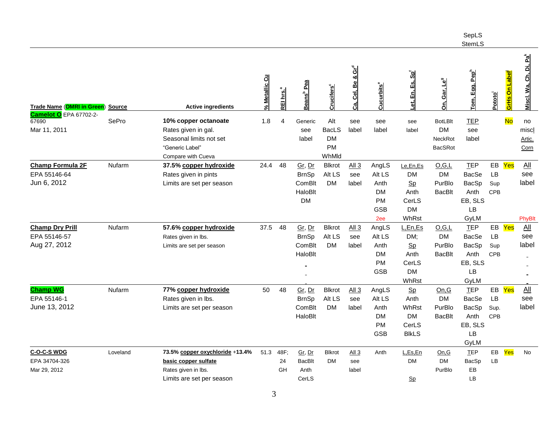|                                        |               |                                 |                      |                       |                          |                                  |                               |                         |                                   |                             | SepLS<br>StemLS           |            |                                        |                                          |
|----------------------------------------|---------------|---------------------------------|----------------------|-----------------------|--------------------------|----------------------------------|-------------------------------|-------------------------|-----------------------------------|-----------------------------|---------------------------|------------|----------------------------------------|------------------------------------------|
| <b>Trade Name (OMRI in Green)</b>      | <b>Source</b> | <b>Active ingredients</b>       | <b>6 Metallic Cu</b> | REI hrs. <sup>a</sup> | Beans <sup>b</sup> Pea   | $\mathsf{Cruchers}^{\mathsf{c}}$ | Ca, Cel, Be & Gr <sup>d</sup> | <b>Cucurbits</b>        | <u>et, En, Es, Sp<sup>í</sup></u> | Gar, Le <sup>9</sup><br>ລົ່ | om, Egg, Pep <sup>h</sup> | Pototo     | <mark>GrHs On Label<sup>i</sup></mark> | <u>Miscl. Wa, Ch, Di, Pa<sup>k</sup></u> |
| <b>Camelot O</b> EPA 67702-2-<br>67690 | SePro         | 10% copper octanoate            | 1.8                  | $\overline{4}$        | Generic                  | Alt                              | see                           | see                     | see                               | <b>BotLBIt</b>              | <b>TEP</b>                |            | <b>No</b>                              | no                                       |
| Mar 11, 2011                           |               | Rates given in gal.             |                      |                       | see                      | <b>BacLS</b>                     | label                         | label                   | label                             | <b>DM</b>                   | see                       |            |                                        | miscl                                    |
|                                        |               | Seasonal limits not set         |                      |                       | label                    | <b>DM</b>                        |                               |                         |                                   | NeckRot                     | label                     |            |                                        | Artic.                                   |
|                                        |               | "Generic Label"                 |                      |                       |                          | PM                               |                               |                         |                                   | <b>BacSRot</b>              |                           |            |                                        | Corn                                     |
|                                        |               | Compare with Cueva              |                      |                       |                          | WhMld                            |                               |                         |                                   |                             |                           |            |                                        |                                          |
| <b>Champ Formula 2F</b>                | Nufarm        | 37.5% copper hydroxide          | 24.4                 | 48                    | Gr, Dr                   | <b>Blkrot</b>                    | All 3                         | AngLS                   | Le,En,Es                          | O, G, L                     | <b>TEP</b>                | EB         | Yes                                    | $\underline{\mathsf{All}}$               |
| EPA 55146-64                           |               | Rates given in pints            |                      |                       | <b>BrnSp</b>             | Alt LS                           | see                           | Alt LS                  | DM                                | <b>DM</b>                   | BacSe                     | <b>LB</b>  |                                        | see                                      |
| Jun 6, 2012                            |               | Limits are set per season       |                      |                       | ComBlt                   | <b>DM</b>                        | label                         | Anth                    | $S_{p}$                           | PurBlo                      | BacSp                     | Sup        |                                        | label                                    |
|                                        |               |                                 |                      |                       | HaloBlt                  |                                  |                               | <b>DM</b>               | Anth                              | BacBlt                      | Anth                      | <b>CPB</b> |                                        |                                          |
|                                        |               |                                 |                      |                       | <b>DM</b>                |                                  |                               | PM                      | CerLS                             |                             | EB, SLS                   |            |                                        |                                          |
|                                        |               |                                 |                      |                       |                          |                                  |                               | <b>GSB</b>              | <b>DM</b>                         |                             | LB                        |            |                                        |                                          |
|                                        |               |                                 |                      |                       |                          |                                  |                               | 2ee                     | WhRst                             |                             | GyLM                      |            |                                        | PhyBlt                                   |
| <b>Champ Dry Prill</b>                 | Nufarm        | 57.6% copper hydroxide          | 37.5                 | 48                    | Gr, Dr                   | <b>Blkrot</b>                    | All 3                         | AngLS                   | L, En, Es                         | O.G.L                       | <b>TEP</b>                | EB Yes     |                                        | $\frac{\text{All}}{\text{All}}$          |
| EPA 55146-57                           |               | Rates given in lbs.             |                      |                       | <b>BrnSp</b>             | Alt LS                           | see                           | Alt LS                  | DM;                               | <b>DM</b>                   | <b>BacSe</b>              | <b>LB</b>  |                                        | see                                      |
| Aug 27, 2012                           |               | Limits are set per season       |                      |                       | ComBlt                   | <b>DM</b>                        | label                         | Anth                    | $S_{p}$                           | PurBlo                      | BacSp                     | Sup        |                                        | label                                    |
|                                        |               |                                 |                      |                       | HaloBlt                  |                                  |                               | DM                      | Anth                              | <b>BacBlt</b>               | Anth                      | <b>CPB</b> |                                        |                                          |
|                                        |               |                                 |                      |                       |                          |                                  |                               | <b>PM</b><br><b>GSB</b> | CerLS<br><b>DM</b>                |                             | EB, SLS<br>LB             |            |                                        |                                          |
|                                        |               |                                 |                      |                       | $\overline{\phantom{0}}$ |                                  |                               |                         | WhRst                             |                             | GyLM                      |            |                                        |                                          |
| <b>Champ WG</b>                        | Nufarm        | 77% copper hydroxide            | 50                   | 48                    | Gr, Dr                   | <b>Blkrot</b>                    | All 3                         | AngLS                   | $S_{p}$                           | On.G                        | <b>TEP</b>                | EB         | Yes                                    | $\frac{\text{All}}{\text{All}}$          |
| EPA 55146-1                            |               | Rates given in lbs.             |                      |                       | <b>BrnSp</b>             | Alt LS                           | see                           | Alt LS                  | Anth                              | <b>DM</b>                   | <b>BacSe</b>              | LB         |                                        | see                                      |
| June 13, 2012                          |               | Limits are set per season       |                      |                       | ComBlt                   | <b>DM</b>                        | label                         | Anth                    | <b>WhRst</b>                      | PurBlo                      | BacSp                     | Sup.       |                                        | label                                    |
|                                        |               |                                 |                      |                       | HaloBlt                  |                                  |                               | <b>DM</b>               | <b>DM</b>                         | <b>BacBlt</b>               | Anth                      | CPB        |                                        |                                          |
|                                        |               |                                 |                      |                       |                          |                                  |                               | <b>PM</b>               | CerLS                             |                             | EB, SLS                   |            |                                        |                                          |
|                                        |               |                                 |                      |                       |                          |                                  |                               | <b>GSB</b>              | <b>BIKLS</b>                      |                             | LB                        |            |                                        |                                          |
|                                        |               |                                 |                      |                       |                          |                                  |                               |                         |                                   |                             | GyLM                      |            |                                        |                                          |
| C-O-C-S WDG                            | Loveland      | 73.5% copper oxychloride +13.4% | 51.3                 | 48F;                  | Gr, Dr                   | <b>Blkrot</b>                    | Al13                          | Anth                    | L, Es, En                         | On, G                       | <b>TEP</b>                | EB         | Yes                                    | No                                       |
| EPA 34704-326                          |               | basic copper sulfate            |                      | 24                    | <b>BacBlt</b>            | DM                               | see                           |                         | DM                                | <b>DM</b>                   | BacSp                     | LB         |                                        |                                          |
| Mar 29, 2012                           |               | Rates given in lbs.             |                      | GH                    | Anth                     |                                  | label                         |                         |                                   | PurBlo                      | EB                        |            |                                        |                                          |
|                                        |               | Limits are set per season       |                      |                       | CerLS                    |                                  |                               |                         | $S_{p}$                           |                             | <b>LB</b>                 |            |                                        |                                          |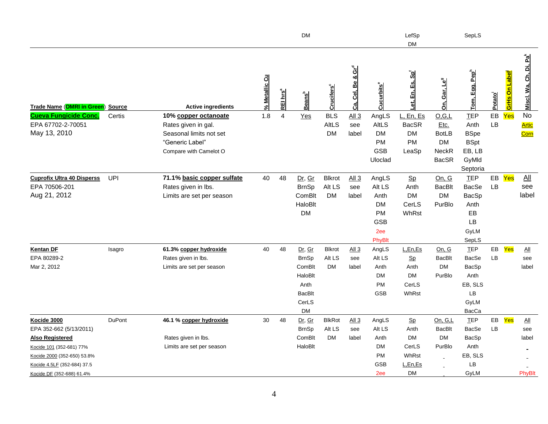|                                                   |               |                            |               |                      | <b>DM</b>                 |                               |                                      |                                 | LefSp<br><b>DM</b>   |                                | SepLS                         |                     |                                  |                                    |
|---------------------------------------------------|---------------|----------------------------|---------------|----------------------|---------------------------|-------------------------------|--------------------------------------|---------------------------------|----------------------|--------------------------------|-------------------------------|---------------------|----------------------------------|------------------------------------|
| Trade Name (OMRI in Green) Source                 |               | <b>Active ingredients</b>  | % Metallic Cu | REI hrs <sup>a</sup> | <b>Beans</b> <sup>b</sup> | <b>Crucifers</b> <sup>c</sup> | Cel, Be & Gr <sup>d</sup><br>ය.<br>ර | $\mathtt{Cucurbits}^\mathtt{e}$ | ဒ်င<br>Es,<br>₫<br>ш | <u>On, Gar, Le<sup>9</sup></u> | Egg, Pep <sup>h</sup><br>Tom. | Potato <sup>i</sup> | <u>GrHs On Label<sup>i</sup></u> | Miscl. Wa, Ch, Di, Pa <sup>k</sup> |
| <b>Cueva Fungicide Conc.</b>                      | Certis        | 10% copper octanoate       | 1.8           | 4                    | Yes                       | <b>BLS</b>                    | All 3                                | AngLS                           | L, En, Es            | O.G.L                          | <b>TEP</b>                    | EB                  | Yes                              | No                                 |
| EPA 67702-2-70051                                 |               | Rates given in gal.        |               |                      |                           | <b>AltLS</b>                  | see                                  | AltLS                           | <b>BacSR</b>         | Etc.                           | Anth                          | LB                  |                                  | Artic                              |
| May 13, 2010                                      |               | Seasonal limits not set    |               |                      |                           | <b>DM</b>                     | label                                | <b>DM</b>                       | <b>DM</b>            | <b>BotLB</b>                   | <b>BSpe</b>                   |                     |                                  | Corn                               |
|                                                   |               | "Generic Label"            |               |                      |                           |                               |                                      | <b>PM</b><br><b>GSB</b>         | PM                   | <b>DM</b><br>NeckR             | <b>BSpt</b><br>EB, LB         |                     |                                  |                                    |
|                                                   |               | Compare with Camelot O     |               |                      |                           |                               |                                      | Uloclad                         | LeaSp                | <b>BacSR</b>                   | GyMld                         |                     |                                  |                                    |
|                                                   |               |                            |               |                      |                           |                               |                                      |                                 |                      |                                | Septoria                      |                     |                                  |                                    |
| <b>Cuprofix Ultra 40 Disperss</b>                 | UPI           | 71.1% basic copper sulfate | 40            | 48                   | Dr, Gr                    | <b>Blkrot</b>                 | All 3                                | AngLS                           | $S_{p}$              | On, G                          | <b>TEP</b>                    | EB                  | Yes                              | $\overline{All}$                   |
| EPA 70506-201                                     |               | Rates given in lbs.        |               |                      | <b>BrnSp</b>              | Alt LS                        | see                                  | Alt LS                          | Anth                 | <b>BacBlt</b>                  | <b>BacSe</b>                  | LB                  |                                  | see                                |
| Aug 21, 2012                                      |               | Limits are set per season  |               |                      | ComBlt                    | <b>DM</b>                     | label                                | Anth                            | <b>DM</b>            | <b>DM</b>                      | <b>BacSp</b>                  |                     |                                  | label                              |
|                                                   |               |                            |               |                      | HaloBlt                   |                               |                                      | <b>DM</b>                       | CerLS                | PurBlo                         | Anth                          |                     |                                  |                                    |
|                                                   |               |                            |               |                      | <b>DM</b>                 |                               |                                      | <b>PM</b>                       | WhRst                |                                | EB                            |                     |                                  |                                    |
|                                                   |               |                            |               |                      |                           |                               |                                      | <b>GSB</b>                      |                      |                                | LB                            |                     |                                  |                                    |
|                                                   |               |                            |               |                      |                           |                               |                                      | 2ee<br>PhyBlt                   |                      |                                | GyLM<br>SepLS                 |                     |                                  |                                    |
| <b>Kentan DF</b>                                  | Isagro        | 61.3% copper hydroxide     | 40            | 48                   | Dr, Gr                    | <b>Blkrot</b>                 | All3                                 | AngLS                           | L, En, Es            | On, G                          | <b>TEP</b>                    | EB                  | Yes                              | $\Delta$ ll                        |
| EPA 80289-2                                       |               | Rates given in lbs.        |               |                      | <b>BrnSp</b>              | Alt LS                        | see                                  | Alt LS                          | $S_{p}$              | <b>BacBlt</b>                  | BacSe                         | LB                  |                                  | see                                |
| Mar 2, 2012                                       |               | Limits are set per season  |               |                      | ComBlt                    | <b>DM</b>                     | label                                | Anth                            | Anth                 | <b>DM</b>                      | BacSp                         |                     |                                  | label                              |
|                                                   |               |                            |               |                      | HaloBlt                   |                               |                                      | <b>DM</b>                       | <b>DM</b>            | PurBlo                         | Anth                          |                     |                                  |                                    |
|                                                   |               |                            |               |                      | Anth                      |                               |                                      | <b>PM</b>                       | CerLS                |                                | EB, SLS                       |                     |                                  |                                    |
|                                                   |               |                            |               |                      | <b>BacBlt</b>             |                               |                                      | <b>GSB</b>                      | WhRst                |                                | LB                            |                     |                                  |                                    |
|                                                   |               |                            |               |                      | CerLS                     |                               |                                      |                                 |                      |                                | GyLM                          |                     |                                  |                                    |
|                                                   |               |                            |               |                      | DM                        |                               |                                      |                                 |                      |                                | BacCa                         |                     |                                  |                                    |
| Kocide 3000                                       | <b>DuPont</b> | 46.1 % copper hydroxide    | 30            | 48                   | Dr, Gr                    | <b>BlkRot</b><br>Alt LS       | $\underline{All 3}$                  | AngLS<br>Alt LS                 | $S_{p}$<br>Anth      | On, G,L<br><b>BacBlt</b>       | <b>TEP</b><br><b>BacSe</b>    | EB<br>LB            | Yes                              | $\Delta$ ll                        |
| EPA 352-662 (5/13/2011)<br><b>Also Registered</b> |               | Rates given in lbs.        |               |                      | <b>BrnSp</b><br>ComBlt    | <b>DM</b>                     | see<br>label                         | Anth                            | <b>DM</b>            | <b>DM</b>                      | BacSp                         |                     |                                  | see<br>label                       |
| Kocide 101 (352-681) 77%                          |               | Limits are set per season  |               |                      | HaloBlt                   |                               |                                      | <b>DM</b>                       | CerLS                | PurBlo                         | Anth                          |                     |                                  |                                    |
| Kocide 2000 (352-650) 53.8%                       |               |                            |               |                      |                           |                               |                                      | <b>PM</b>                       | WhRst                |                                | EB, SLS                       |                     |                                  |                                    |
| Kocide 4.5LF (352-684) 37.5                       |               |                            |               |                      |                           |                               |                                      | GSB                             | L,En,Es              |                                | LB                            |                     |                                  |                                    |
| Kocide DF (352-688) 61.4%                         |               |                            |               |                      |                           |                               |                                      | 2ee                             | <b>DM</b>            |                                | GyLM                          |                     |                                  | PhyBlt                             |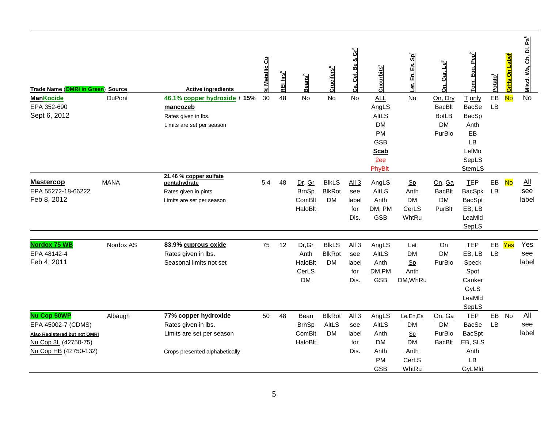| <b>Trade Name (OMRI in Green)</b><br><b>ManKocide</b>                                                                     | <b>Source</b><br><b>DuPont</b> | <b>Active ingredients</b><br>46.1% copper hydroxide + 15%                                                  | 6 Metallic Cu<br>30 | REI hrs <sup>a</sup><br>48 | eans <sup>b</sup><br>മി<br><b>No</b>            | $\mathsf{Cruchers}^{\mathsf{c}}$<br><b>No</b> | Ca, Cel, Be & Gr <sup>d</sup><br><b>No</b>      | ucurbits°<br>ပ<br><b>ALL</b>                                                  | Es, Sp <sup>1</sup><br><u>ដ</u><br>ಕ<br>No           | Gar, Le <sup>9</sup><br>ລົ່<br>On, Dry               | Egg, Pep <sup>h</sup><br>T only                                                | Potato<br>EB    | <mark>GrHs On Label<sup>i</sup></mark><br><b>No</b> | . Di, Pa <sup>k</sup><br>Miscl. Wa, Ch,<br><b>No</b> |
|---------------------------------------------------------------------------------------------------------------------------|--------------------------------|------------------------------------------------------------------------------------------------------------|---------------------|----------------------------|-------------------------------------------------|-----------------------------------------------|-------------------------------------------------|-------------------------------------------------------------------------------|------------------------------------------------------|------------------------------------------------------|--------------------------------------------------------------------------------|-----------------|-----------------------------------------------------|------------------------------------------------------|
| EPA 352-690<br>Sept 6, 2012                                                                                               |                                | mancozeb<br>Rates given in lbs.<br>Limits are set per season                                               |                     |                            |                                                 |                                               |                                                 | AngLS<br>AltLS<br><b>DM</b><br><b>PM</b>                                      |                                                      | <b>BacBlt</b><br><b>BotLB</b><br><b>DM</b><br>PurBlo | <b>BacSe</b><br>BacSp<br>Anth<br>EB                                            | LB              |                                                     |                                                      |
|                                                                                                                           |                                | 21.46 % copper sulfate                                                                                     |                     |                            |                                                 |                                               |                                                 | <b>GSB</b><br><b>Scab</b><br>2ee<br>PhyBlt                                    |                                                      |                                                      | LB<br>LefMo<br>SepLS<br>StemLS                                                 |                 |                                                     |                                                      |
| <b>Mastercop</b><br>EPA 55272-18-66222<br>Feb 8, 2012                                                                     | <b>MANA</b>                    | pentahydrate<br>Rates given in pints.<br>Limits are set per season                                         | 5.4                 | 48                         | Dr, Gr<br><b>BrnSp</b><br>ComBlt<br>HaloBlt     | <b>BIKLS</b><br><b>BlkRot</b><br><b>DM</b>    | All <sub>3</sub><br>see<br>label<br>for<br>Dis. | AngLS<br><b>AltLS</b><br>Anth<br>DM, PM<br><b>GSB</b>                         | <b>Sp</b><br>Anth<br><b>DM</b><br>CerLS<br>WhtRu     | On, Ga<br><b>BacBlt</b><br><b>DM</b><br>PurBlt       | <b>TEP</b><br>BacSpk<br><b>BacSpt</b><br>EB, LB<br>LeaMId<br>SepLS             | EB<br>LB        | <b>No</b>                                           | All<br>see<br>label                                  |
| <b>Nordox 75 WB</b><br>EPA 48142-4<br>Feb 4, 2011                                                                         | Nordox AS                      | 83.9% cuprous oxide<br>Rates given in lbs.<br>Seasonal limits not set                                      | 75                  | 12                         | Dr, Gr<br>Anth<br>HaloBlt<br>CerLS<br><b>DM</b> | <b>BIKLS</b><br><b>BlkRot</b><br><b>DM</b>    | All 3<br>see<br>label<br>for<br>Dis.            | AngLS<br><b>AltLS</b><br>Anth<br>DM,PM<br><b>GSB</b>                          | Let<br><b>DM</b><br>Sp<br>Anth<br>DM, WhRu           | On<br><b>DM</b><br>PurBlo                            | <b>TEP</b><br>EB, LB<br>Speck<br>Spot<br>Canker<br>GyLS<br>LeaMId<br>SepLS     | EB<br><b>LB</b> | Yes                                                 | Yes<br>see<br>label                                  |
| <b>Nu Cop 50WP</b><br>EPA 45002-7 (CDMS)<br>Also Registered but not OMRI<br>Nu Cop 3L (42750-75)<br>Nu Cop HB (42750-132) | Albaugh                        | 77% copper hydroxide<br>Rates given in lbs.<br>Limits are set per season<br>Crops presented alphabetically | 50                  | 48                         | Bean<br><b>BrnSp</b><br>ComBlt<br>HaloBlt       | <b>BlkRot</b><br><b>AltLS</b><br><b>DM</b>    | All <sub>3</sub><br>see<br>label<br>for<br>Dis. | AngLS<br><b>AltLS</b><br>Anth<br><b>DM</b><br>Anth<br><b>PM</b><br><b>GSB</b> | Le,En,Es<br>DM<br>Sp<br>DM<br>Anth<br>CerLS<br>WhtRu | On, Ga<br><b>DM</b><br>PurBlo<br><b>BacBlt</b>       | <b>TEP</b><br><b>BacSe</b><br><b>BacSpt</b><br>EB, SLS<br>Anth<br>LB<br>GyLMId | EB<br>LB        | <b>No</b>                                           | <b>All</b><br>see<br>label                           |